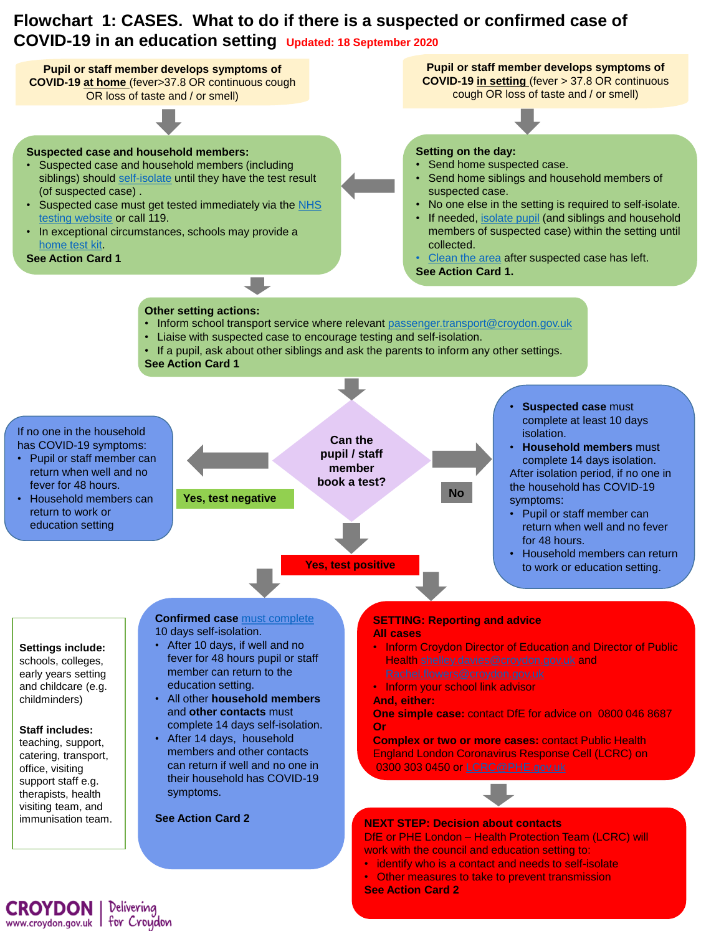## **Flowchart 1: CASES. What to do if there is a suspected or confirmed case of COVID-19 in an education setting Updated: 18 September 2020**



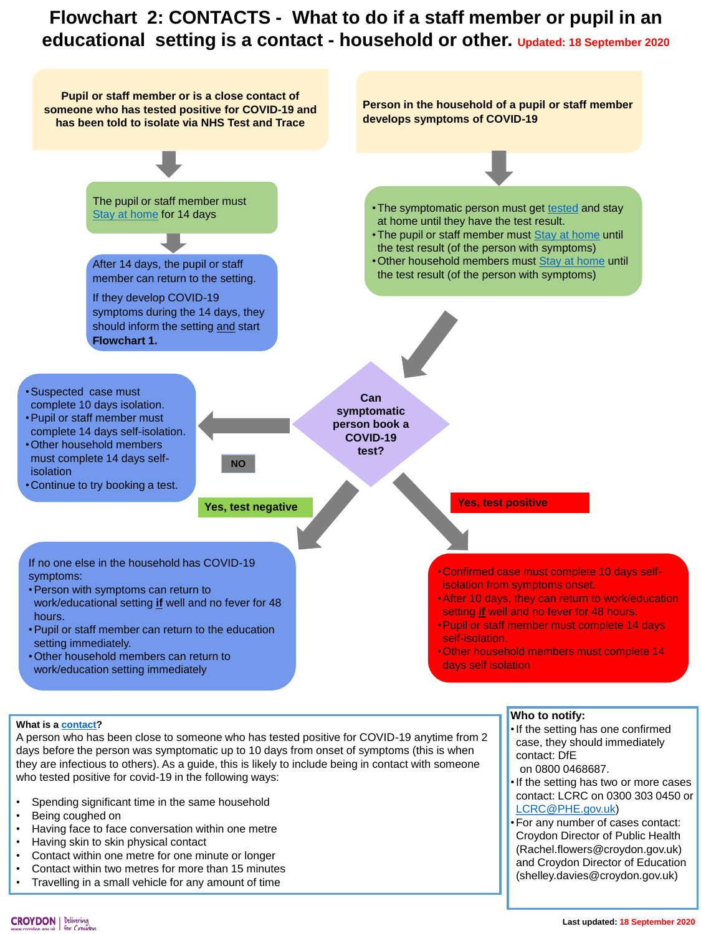## **Flowchart 2: CONTACTS - What to do if a staff member or pupil in an educational setting is a contact - household or other. Updated: 18 September 2020**



## **What is a [contact?](https://www.gov.uk/government/publications/guidance-for-contacts-of-people-with-possible-or-confirmed-coronavirus-covid-19-infection-who-do-not-live-with-the-person/guidance-for-contacts-of-people-with-possible-or-confirmed-coronavirus-covid-19-infection-who-do-not-live-with-the-person#:~:text=A%20%27contact%27%20is,positive%20for%20COVID-19)**

A person who has been close to someone who has tested positive for COVID-19 anytime from 2 days before the person was symptomatic up to 10 days from onset of symptoms (this is when they are infectious to others). As a guide, this is likely to include being in contact with someone who tested positive for covid-19 in the following ways:

- Spending significant time in the same household
- Being coughed on
- Having face to face conversation within one metre
- Having skin to skin physical contact
- Contact within one metre for one minute or longer
- Contact within two metres for more than 15 minutes
- Travelling in a small vehicle for any amount of time
- **Who to notify:**
- •If the setting has one confirmed case, they should immediately contact: DfE on 0800 0468687.
- •If the setting has two or more cases contact: LCRC on 0300 303 0450 or [LCRC@PHE.gov.uk\)](mailto:LCRC@PHE.gov.uk)
- •For any number of cases contact: Croydon Director of Public Health (Rachel.flowers@croydon.gov.uk) and Croydon Director of Education (shelley.davies@croydon.gov.uk)